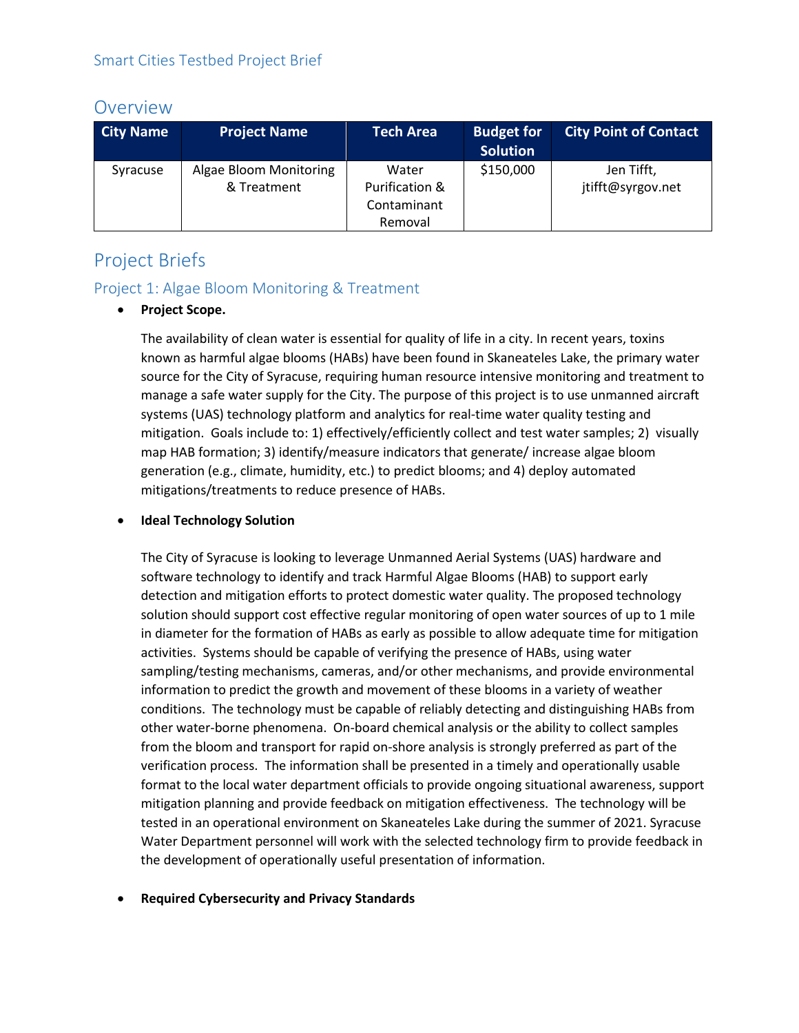## Overview

| <b>City Name</b> | <b>Project Name</b>                   | <b>Tech Area</b>                                  | <b>Budget for</b><br><b>Solution</b> | <b>City Point of Contact</b>    |
|------------------|---------------------------------------|---------------------------------------------------|--------------------------------------|---------------------------------|
| Syracuse         | Algae Bloom Monitoring<br>& Treatment | Water<br>Purification &<br>Contaminant<br>Removal | \$150,000                            | Jen Tifft,<br>jtifft@syrgov.net |

# Project Briefs

### Project 1: Algae Bloom Monitoring & Treatment

#### • **Project Scope.**

The availability of clean water is essential for quality of life in a city. In recent years, toxins known as harmful algae blooms (HABs) have been found in Skaneateles Lake, the primary water source for the City of Syracuse, requiring human resource intensive monitoring and treatment to manage a safe water supply for the City. The purpose of this project is to use unmanned aircraft systems (UAS) technology platform and analytics for real-time water quality testing and mitigation. Goals include to: 1) effectively/efficiently collect and test water samples; 2) visually map HAB formation; 3) identify/measure indicators that generate/ increase algae bloom generation (e.g., climate, humidity, etc.) to predict blooms; and 4) deploy automated mitigations/treatments to reduce presence of HABs.

#### • **Ideal Technology Solution**

The City of Syracuse is looking to leverage Unmanned Aerial Systems (UAS) hardware and software technology to identify and track Harmful Algae Blooms (HAB) to support early detection and mitigation efforts to protect domestic water quality. The proposed technology solution should support cost effective regular monitoring of open water sources of up to 1 mile in diameter for the formation of HABs as early as possible to allow adequate time for mitigation activities. Systems should be capable of verifying the presence of HABs, using water sampling/testing mechanisms, cameras, and/or other mechanisms, and provide environmental information to predict the growth and movement of these blooms in a variety of weather conditions. The technology must be capable of reliably detecting and distinguishing HABs from other water-borne phenomena. On-board chemical analysis or the ability to collect samples from the bloom and transport for rapid on-shore analysis is strongly preferred as part of the verification process. The information shall be presented in a timely and operationally usable format to the local water department officials to provide ongoing situational awareness, support mitigation planning and provide feedback on mitigation effectiveness. The technology will be tested in an operational environment on Skaneateles Lake during the summer of 2021. Syracuse Water Department personnel will work with the selected technology firm to provide feedback in the development of operationally useful presentation of information.

#### • **Required Cybersecurity and Privacy Standards**